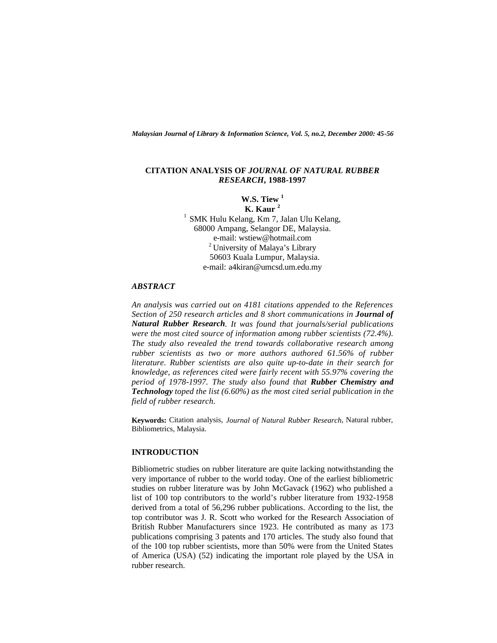*Malaysian Journal of Library & Information Science, Vol. 5, no.2, December 2000: 45-56*

### **CITATION ANALYSIS OF** *JOURNAL OF NATURAL RUBBER RESEARCH***, 1988-1997**

# **W.S. Tiew <sup>1</sup> K. Kaur <sup>2</sup>**

<sup>1</sup> SMK Hulu Kelang, Km 7, Jalan Ulu Kelang, 68000 Ampang, Selangor DE, Malaysia. e-mail: wstiew@hotmail.com <sup>2</sup> University of Malaya's Library 50603 Kuala Lumpur, Malaysia. e-mail: a4kiran@umcsd.um.edu.my

# *ABSTRACT*

*An analysis was carried out on 4181 citations appended to the References Section of 250 research articles and 8 short communications in Journal of Natural Rubber Research. It was found that journals/serial publications were the most cited source of information among rubber scientists (72.4%). The study also revealed the trend towards collaborative research among rubber scientists as two or more authors authored 61.56% of rubber literature. Rubber scientists are also quite up-to-date in their search for knowledge, as references cited were fairly recent with 55.97% covering the period of 1978-1997. The study also found that Rubber Chemistry and Technology toped the list (6.60%) as the most cited serial publication in the field of rubber research.*

**Keywords:** Citation analysis, *Journal of Natural Rubber Research*, Natural rubber, Bibliometrics, Malaysia.

# **INTRODUCTION**

Bibliometric studies on rubber literature are quite lacking notwithstanding the very importance of rubber to the world today. One of the earliest bibliometric studies on rubber literature was by John McGavack (1962) who published a list of 100 top contributors to the world's rubber literature from 1932-1958 derived from a total of 56,296 rubber publications. According to the list, the top contributor was J. R. Scott who worked for the Research Association of British Rubber Manufacturers since 1923. He contributed as many as 173 publications comprising 3 patents and 170 articles. The study also found that of the 100 top rubber scientists, more than 50% were from the United States of America (USA) (52) indicating the important role played by the USA in rubber research.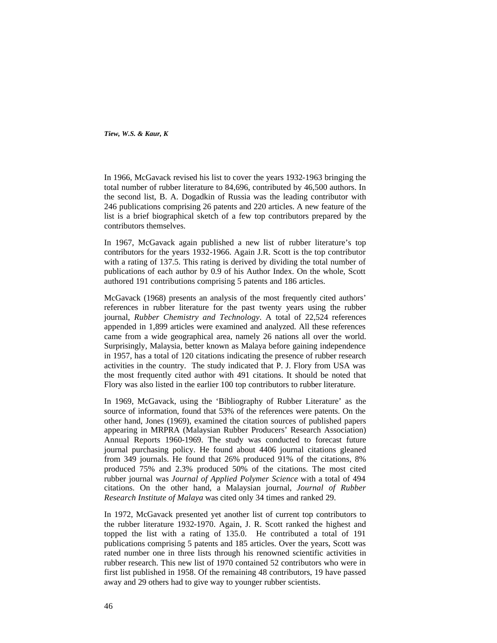In 1966, McGavack revised his list to cover the years 1932-1963 bringing the total number of rubber literature to 84,696, contributed by 46,500 authors. In the second list, B. A. Dogadkin of Russia was the leading contributor with 246 publications comprising 26 patents and 220 articles. A new feature of the list is a brief biographical sketch of a few top contributors prepared by the contributors themselves.

In 1967, McGavack again published a new list of rubber literature's top contributors for the years 1932-1966. Again J.R. Scott is the top contributor with a rating of 137.5. This rating is derived by dividing the total number of publications of each author by 0.9 of his Author Index. On the whole, Scott authored 191 contributions comprising 5 patents and 186 articles.

McGavack (1968) presents an analysis of the most frequently cited authors' references in rubber literature for the past twenty years using the rubber journal, *Rubber Chemistry and Technology*. A total of 22,524 references appended in 1,899 articles were examined and analyzed. All these references came from a wide geographical area, namely 26 nations all over the world. Surprisingly, Malaysia, better known as Malaya before gaining independence in 1957, has a total of 120 citations indicating the presence of rubber research activities in the country. The study indicated that P. J. Flory from USA was the most frequently cited author with 491 citations. It should be noted that Flory was also listed in the earlier 100 top contributors to rubber literature.

In 1969, McGavack, using the 'Bibliography of Rubber Literature' as the source of information, found that 53% of the references were patents. On the other hand, Jones (1969), examined the citation sources of published papers appearing in MRPRA (Malaysian Rubber Producers' Research Association) Annual Reports 1960-1969. The study was conducted to forecast future journal purchasing policy. He found about 4406 journal citations gleaned from 349 journals. He found that 26% produced 91% of the citations, 8% produced 75% and 2.3% produced 50% of the citations. The most cited rubber journal was *Journal of Applied Polymer Science* with a total of 494 citations. On the other hand, a Malaysian journal, *Journal of Rubber Research Institute of Malaya* was cited only 34 times and ranked 29.

In 1972, McGavack presented yet another list of current top contributors to the rubber literature 1932-1970. Again, J. R. Scott ranked the highest and topped the list with a rating of 135.0. He contributed a total of 191 publications comprising 5 patents and 185 articles. Over the years, Scott was rated number one in three lists through his renowned scientific activities in rubber research. This new list of 1970 contained 52 contributors who were in first list published in 1958. Of the remaining 48 contributors, 19 have passed away and 29 others had to give way to younger rubber scientists.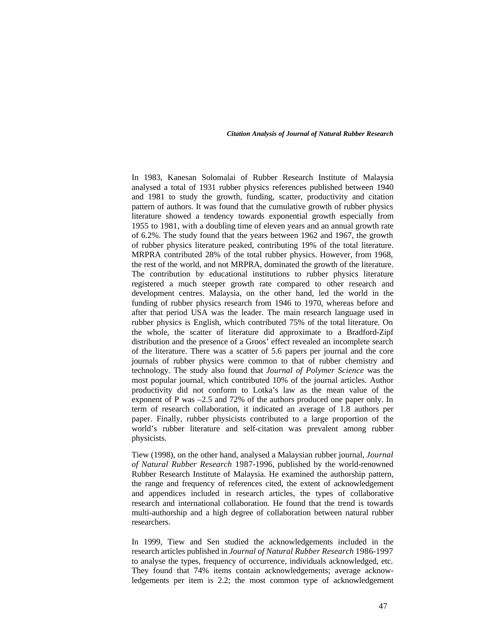In 1983, Kanesan Solomalai of Rubber Research Institute of Malaysia analysed a total of 1931 rubber physics references published between 1940 and 1981 to study the growth, funding, scatter, productivity and citation pattern of authors. It was found that the cumulative growth of rubber physics literature showed a tendency towards exponential growth especially from 1955 to 1981, with a doubling time of eleven years and an annual growth rate of 6.2%. The study found that the years between 1962 and 1967, the growth of rubber physics literature peaked, contributing 19% of the total literature. MRPRA contributed 28% of the total rubber physics. However, from 1968, the rest of the world, and not MRPRA, dominated the growth of the literature. The contribution by educational institutions to rubber physics literature registered a much steeper growth rate compared to other research and development centres. Malaysia, on the other hand, led the world in the funding of rubber physics research from 1946 to 1970, whereas before and after that period USA was the leader. The main research language used in rubber physics is English, which contributed 75% of the total literature. On the whole, the scatter of literature did approximate to a Bradford-Zipf distribution and the presence of a Groos' effect revealed an incomplete search of the literature. There was a scatter of 5.6 papers per journal and the core journals of rubber physics were common to that of rubber chemistry and technology. The study also found that *Journal of Polymer Science* was the most popular journal, which contributed 10% of the journal articles. Author productivity did not conform to Lotka's law as the mean value of the exponent of P was –2.5 and 72% of the authors produced one paper only. In term of research collaboration, it indicated an average of 1.8 authors per paper. Finally, rubber physicists contributed to a large proportion of the world's rubber literature and self-citation was prevalent among rubber physicists.

Tiew (1998), on the other hand, analysed a Malaysian rubber journal, *Journal of Natural Rubber Research* 1987-1996, published by the world-renowned Rubber Research Institute of Malaysia. He examined the authorship pattern, the range and frequency of references cited, the extent of acknowledgement and appendices included in research articles, the types of collaborative research and international collaboration. He found that the trend is towards multi-authorship and a high degree of collaboration between natural rubber researchers.

In 1999, Tiew and Sen studied the acknowledgements included in the research articles published in *Journal of Natural Rubber Research* 1986-1997 to analyse the types, frequency of occurrence, individuals acknowledged, etc. They found that 74% items contain acknowledgements; average acknowledgements per item is 2.2; the most common type of acknowledgement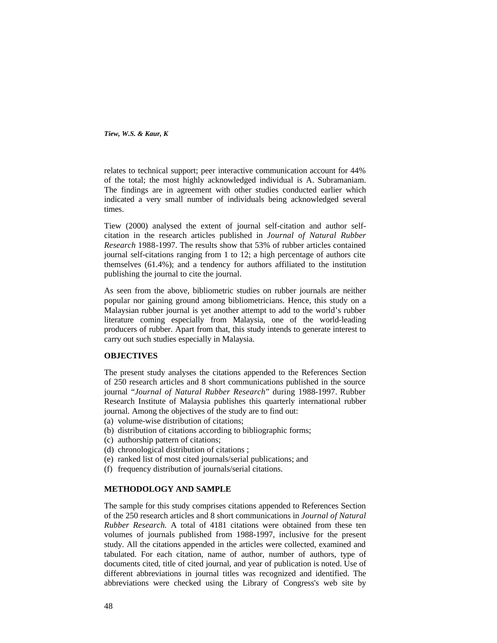relates to technical support; peer interactive communication account for 44% of the total; the most highly acknowledged individual is A. Subramaniam. The findings are in agreement with other studies conducted earlier which indicated a very small number of individuals being acknowledged several times.

Tiew (2000) analysed the extent of journal self-citation and author selfcitation in the research articles published in *Journal of Natural Rubber Research* 1988-1997. The results show that 53% of rubber articles contained journal self-citations ranging from 1 to 12; a high percentage of authors cite themselves (61.4%); and a tendency for authors affiliated to the institution publishing the journal to cite the journal.

As seen from the above, bibliometric studies on rubber journals are neither popular nor gaining ground among bibliometricians. Hence, this study on a Malaysian rubber journal is yet another attempt to add to the world's rubber literature coming especially from Malaysia, one of the world-leading producers of rubber. Apart from that, this study intends to generate interest to carry out such studies especially in Malaysia.

#### **OBJECTIVES**

The present study analyses the citations appended to the References Section of 250 research articles and 8 short communications published in the source journal "*Journal of Natural Rubber Research*" during 1988-1997. Rubber Research Institute of Malaysia publishes this quarterly international rubber journal. Among the objectives of the study are to find out:

- (a) volume-wise distribution of citations;
- (b) distribution of citations according to bibliographic forms;
- (c) authorship pattern of citations;
- (d) chronological distribution of citations ;
- (e) ranked list of most cited journals/serial publications; and
- (f) frequency distribution of journals/serial citations.

# **METHODOLOGY AND SAMPLE**

The sample for this study comprises citations appended to References Section of the 250 research articles and 8 short communications in *Journal of Natural Rubber Research.* A total of 4181 citations were obtained from these ten volumes of journals published from 1988-1997, inclusive for the present study. All the citations appended in the articles were collected, examined and tabulated. For each citation, name of author, number of authors, type of documents cited, title of cited journal, and year of publication is noted. Use of different abbreviations in journal titles was recognized and identified. The abbreviations were checked using the Library of Congress's web site by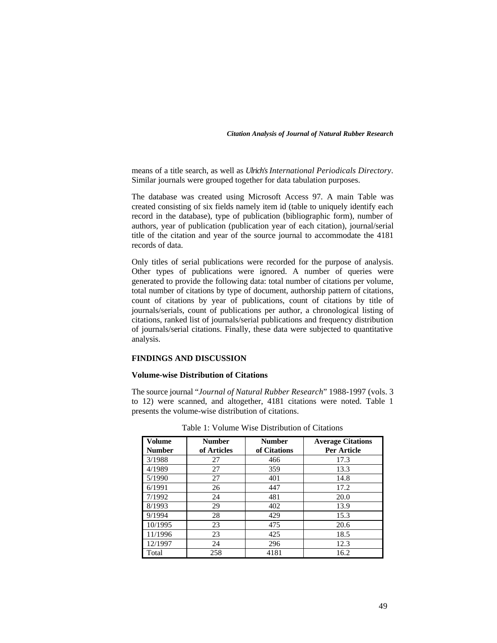means of a title search, as well as *Ulrich's International Periodicals Directory*. Similar journals were grouped together for data tabulation purposes.

The database was created using Microsoft Access 97. A main Table was created consisting of six fields namely item id (table to uniquely identify each record in the database), type of publication (bibliographic form), number of authors, year of publication (publication year of each citation), journal/serial title of the citation and year of the source journal to accommodate the 4181 records of data.

Only titles of serial publications were recorded for the purpose of analysis. Other types of publications were ignored. A number of queries were generated to provide the following data: total number of citations per volume, total number of citations by type of document, authorship pattern of citations, count of citations by year of publications, count of citations by title of journals/serials, count of publications per author, a chronological listing of citations, ranked list of journals/serial publications and frequency distribution of journals/serial citations. Finally, these data were subjected to quantitative analysis.

### **FINDINGS AND DISCUSSION**

# **Volume-wise Distribution of Citations**

The source journal "*Journal of Natural Rubber Research*" 1988-1997 (vols. 3 to 12) were scanned, and altogether, 4181 citations were noted. Table 1 presents the volume-wise distribution of citations.

| Volume<br><b>Number</b> | <b>Number</b><br>of Articles | <b>Number</b><br>of Citations | <b>Average Citations</b><br>Per Article |
|-------------------------|------------------------------|-------------------------------|-----------------------------------------|
| 3/1988                  | 27                           | 466                           | 17.3                                    |
| 4/1989                  | 27                           | 359                           | 13.3                                    |
| 5/1990                  | 27                           | 401                           | 14.8                                    |
| 6/1991                  | 26                           | 447                           | 17.2                                    |
| 7/1992                  | 24                           | 481                           | 20.0                                    |
| 8/1993                  | 29                           | 402                           | 13.9                                    |
| 9/1994                  | 28                           | 429                           | 15.3                                    |
| 10/1995                 | 23                           | 475                           | 20.6                                    |
| 11/1996                 | 23                           | 425                           | 18.5                                    |
| 12/1997                 | 24                           | 296                           | 12.3                                    |
| Total                   | 258                          | 4181                          | 16.2                                    |

Table 1: Volume Wise Distribution of Citations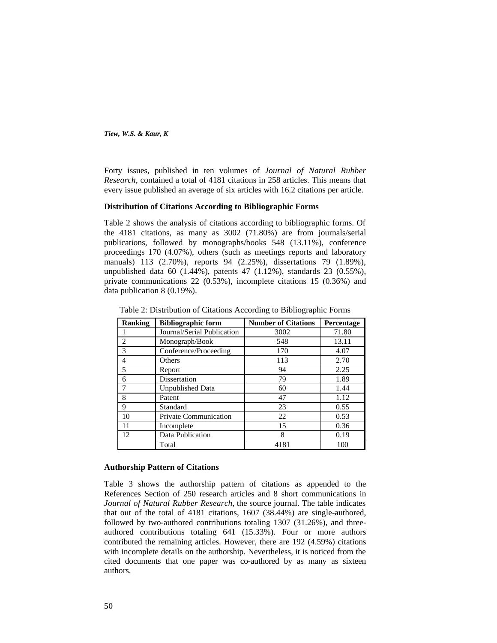Forty issues, published in ten volumes of *Journal of Natural Rubber Research,* contained a total of 4181 citations in 258 articles. This means that every issue published an average of six articles with 16.2 citations per article.

#### **Distribution of Citations According to Bibliographic Forms**

Table 2 shows the analysis of citations according to bibliographic forms. Of the 4181 citations, as many as 3002 (71.80%) are from journals/serial publications, followed by monographs/books 548 (13.11%), conference proceedings 170 (4.07%), others (such as meetings reports and laboratory manuals) 113 (2.70%), reports 94 (2.25%), dissertations 79 (1.89%), unpublished data 60 (1.44%), patents 47 (1.12%), standards 23 (0.55%), private communications 22 (0.53%), incomplete citations 15 (0.36%) and data publication 8 (0.19%).

| <b>Ranking</b> | <b>Bibliographic form</b>  | <b>Number of Citations</b> | Percentage |
|----------------|----------------------------|----------------------------|------------|
|                | Journal/Serial Publication | 3002                       | 71.80      |
| $\overline{c}$ | Monograph/Book             | 548                        | 13.11      |
| 3              | Conference/Proceeding      | 170                        | 4.07       |
| 4              | Others                     | 113                        | 2.70       |
| 5              | Report                     | 94                         | 2.25       |
| 6              | Dissertation               | 79                         | 1.89       |
|                | <b>Unpublished Data</b>    | 60                         | 1.44       |
| 8              | Patent                     | 47                         | 1.12       |
| 9              | Standard                   | 23                         | 0.55       |
| 10             | Private Communication      | 22                         | 0.53       |
| 11             | Incomplete                 | 15                         | 0.36       |
| 12             | Data Publication           | 8                          | 0.19       |
|                | Total                      | 4181                       | 100        |

Table 2: Distribution of Citations According to Bibliographic Forms

#### **Authorship Pattern of Citations**

Table 3 shows the authorship pattern of citations as appended to the References Section of 250 research articles and 8 short communications in *Journal of Natural Rubber Research*, the source journal. The table indicates that out of the total of 4181 citations, 1607 (38.44%) are single-authored, followed by two-authored contributions totaling 1307 (31.26%), and threeauthored contributions totaling 641 (15.33%). Four or more authors contributed the remaining articles. However, there are 192 (4.59%) citations with incomplete details on the authorship. Nevertheless, it is noticed from the cited documents that one paper was co-authored by as many as sixteen authors.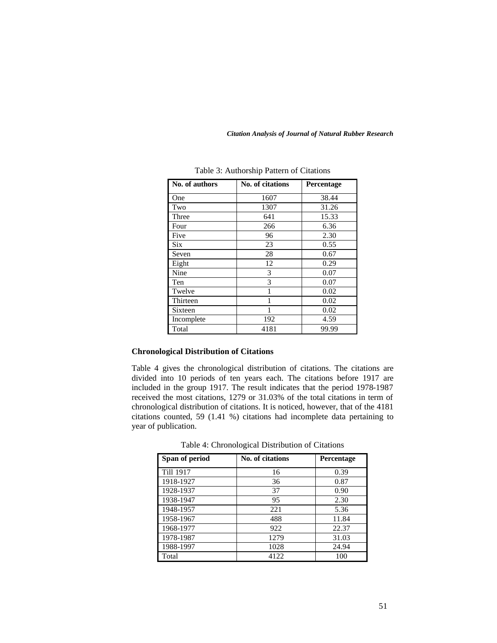| No. of authors | No. of citations | Percentage |
|----------------|------------------|------------|
| One            | 1607             | 38.44      |
| Two            | 1307             | 31.26      |
| Three          | 641              | 15.33      |
| Four           | 266              | 6.36       |
| Five           | 96               | 2.30       |
| <b>Six</b>     | 23               | 0.55       |
| Seven          | 28               | 0.67       |
| Eight          | 12               | 0.29       |
| Nine           | 3                | 0.07       |
| Ten            | 3                | 0.07       |
| Twelve         | 1                | 0.02       |
| Thirteen       |                  | 0.02       |
| Sixteen        | 1                | 0.02       |
| Incomplete     | 192              | 4.59       |
| Total          | 4181             | 99.99      |

*Citation Analysis of Journal of Natural Rubber Research*

# Table 3: Authorship Pattern of Citations

# **Chronological Distribution of Citations**

Table 4 gives the chronological distribution of citations. The citations are divided into 10 periods of ten years each. The citations before 1917 are included in the group 1917. The result indicates that the period 1978-1987 received the most citations, 1279 or 31.03% of the total citations in term of chronological distribution of citations. It is noticed, however, that of the 4181 citations counted, 59 (1.41 %) citations had incomplete data pertaining to year of publication.

| Span of period | No. of citations | <b>Percentage</b> |
|----------------|------------------|-------------------|
| Till 1917      | 16               | 0.39              |
| 1918-1927      | 36               | 0.87              |
| 1928-1937      | 37               | 0.90              |
| 1938-1947      | 95               | 2.30              |
| 1948-1957      | 221              | 5.36              |
| 1958-1967      | 488              | 11.84             |
| 1968-1977      | 922              | 22.37             |
| 1978-1987      | 1279             | 31.03             |
| 1988-1997      | 1028             | 24.94             |
| Total          | 4122             | 100               |

Table 4: Chronological Distribution of Citations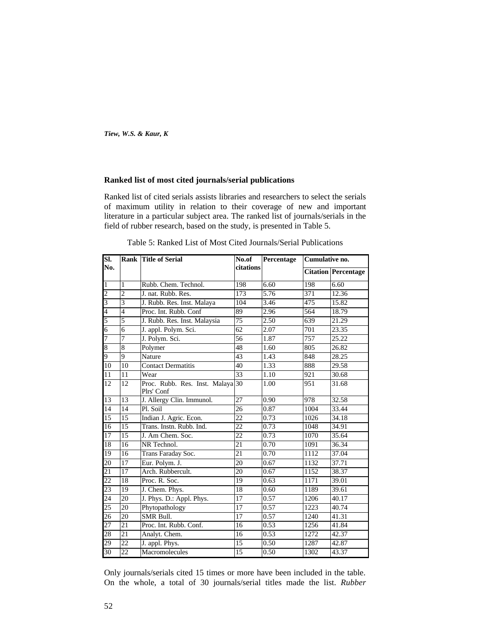## **Ranked list of most cited journals/serial publications**

Ranked list of cited serials assists libraries and researchers to select the serials of maximum utility in relation to their coverage of new and important literature in a particular subject area. The ranked list of journals/serials in the field of rubber research, based on the study, is presented in Table 5.

| SI.             |                 | <b>Rank Title of Serial</b>                    | No.of           | Percentage | Cumulative no. |                            |
|-----------------|-----------------|------------------------------------------------|-----------------|------------|----------------|----------------------------|
| No.             |                 |                                                | citations       |            |                | <b>Citation Percentage</b> |
| $\overline{1}$  | 1               | Rubb. Chem. Technol.                           | 198             | 6.60       | 198            | 6.60                       |
| $rac{2}{3}$     | $\overline{2}$  | J. nat. Rubb. Res.                             | 173             | 5.76       | 371            | 12.36                      |
|                 | $\overline{3}$  | J. Rubb. Res. Inst. Malaya                     | 104             | 3.46       | 475            | 15.82                      |
| $\frac{4}{5}$   | $\overline{4}$  | Proc. Int. Rubb. Conf                          | 89              | 2.96       | 564            | 18.79                      |
|                 | 5               | J. Rubb. Res. Inst. Malaysia                   | $\overline{75}$ | 2.50       | 639            | 21.29                      |
| $\overline{6}$  | $\overline{6}$  | J. appl. Polym. Sci.                           | 62              | 2.07       | 701            | 23.35                      |
| $\overline{7}$  | 7               | J. Polym. Sci.                                 | 56              | 1.87       | 757            | 25.22                      |
| 8               | 8               | Polymer                                        | 48              | 1.60       | 805            | 26.82                      |
| 9               | 9               | Nature                                         | 43              | 1.43       | 848            | 28.25                      |
| 10              | 10              | <b>Contact Dermatitis</b>                      | 40              | 1.33       | 888            | 29.58                      |
| 11              | 11              | Wear                                           | 33              | 1.10       | 921            | 30.68                      |
| 12              | 12              | Proc. Rubb. Res. Inst. Malaya 30<br>Plrs' Conf |                 | 1.00       | 951            | 31.68                      |
| 13              | 13              | J. Allergy Clin. Immunol.                      | 27              | 0.90       | 978            | 32.58                      |
| 14              | $\overline{14}$ | Pl. Soil                                       | 26              | 0.87       | 1004           | 33.44                      |
| 15              | 15              | Indian J. Agric. Econ.                         | $\overline{22}$ | 0.73       | 1026           | 34.18                      |
| 16              | 15              | Trans. Instn. Rubb. Ind.                       | $\overline{22}$ | 0.73       | 1048           | 34.91                      |
| 17              | 15              | J. Am Chem. Soc.                               | 22              | 0.73       | 1070           | 35.64                      |
| 18              | 16              | NR Technol.                                    | 21              | 0.70       | 1091           | 36.34                      |
| 19              | 16              | Trans Faraday Soc.                             | $\overline{21}$ | 0.70       | 1112           | 37.04                      |
| 20              | 17              | Eur. Polym. J.                                 | 20              | 0.67       | 1132           | 37.71                      |
| 21              | $\overline{17}$ | Arch. Rubbercult.                              | $\overline{20}$ | 0.67       | 1152           | 38.37                      |
| $\overline{22}$ | 18              | Proc. R. Soc.                                  | 19              | 0.63       | 1171           | 39.01                      |
| 23              | 19              | J. Chem. Phys.                                 | 18              | 0.60       | 1189           | 39.61                      |
| 24              | $\overline{20}$ | J. Phys. D.: Appl. Phys.                       | 17              | 0.57       | 1206           | 40.17                      |
| $\overline{25}$ | 20              | Phytopathology                                 | 17              | 0.57       | 1223           | 40.74                      |
| 26              | 20              | SMR Bull.                                      | $\overline{17}$ | 0.57       | 1240           | 41.31                      |
| 27              | 21              | Proc. Int. Rubb. Conf.                         | 16              | 0.53       | 1256           | 41.84                      |
| 28              | $\overline{21}$ | Analyt. Chem.                                  | 16              | 0.53       | 1272           | 42.37                      |
| 29              | 22              | J. appl. Phys.                                 | 15              | 0.50       | 1287           | 42.87                      |
| 30              | 22              | Macromolecules                                 | $\overline{15}$ | 0.50       | 1302           | 43.37                      |

Table 5: Ranked List of Most Cited Journals/Serial Publications

Only journals/serials cited 15 times or more have been included in the table. On the whole, a total of 30 journals/serial titles made the list. *Rubber*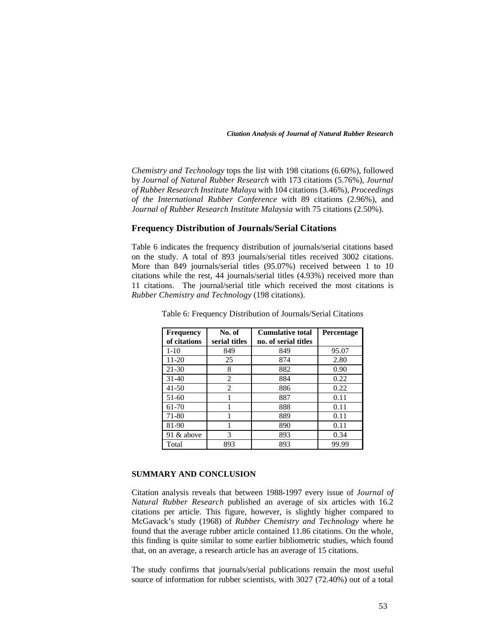*Chemistry and Technology* tops the list with 198 citations (6.60%), followed by *Journal of Natural Rubber Research* with 173 citations (5.76%), *Journal of Rubber Research Institute Malaya* with 104 citations (3.46%), *Proceedings of the International Rubber Conference* with 89 citations (2.96%), and *Journal of Rubber Research Institute Malaysia* with 75 citations (2.50%).

# **Frequency Distribution of Journals/Serial Citations**

Table 6 indicates the frequency distribution of journals/serial citations based on the study. A total of 893 journals/serial titles received 3002 citations. More than 849 journals/serial titles (95.07%) received between 1 to 10 citations while the rest, 44 journals/serial titles (4.93%) received more than 11 citations. The journal/serial title which received the most citations is *Rubber Chemistry and Technology* (198 citations).

| <b>Frequency</b> | No. of         | <b>Cumulative total</b> | <b>Percentage</b> |
|------------------|----------------|-------------------------|-------------------|
| of citations     | serial titles  | no. of serial titles    |                   |
| $1-10$           | 849            | 849                     | 95.07             |
| 11-20            | 25             | 874                     | 2.80              |
| $21 - 30$        | 8              | 882                     | 0.90              |
| $31 - 40$        | 2              | 884                     | 0.22              |
| 41-50            | $\overline{2}$ | 886                     | 0.22              |
| $51 - 60$        |                | 887                     | 0.11              |
| 61-70            |                | 888                     | 0.11              |
| 71-80            |                | 889                     | 0.11              |
| 81-90            |                | 890                     | 0.11              |
| 91 & above       | 3              | 893                     | 0.34              |
| Total            | 893            | 893                     | 99.99             |

Table 6: Frequency Distribution of Journals/Serial Citations

# **SUMMARY AND CONCLUSION**

Citation analysis reveals that between 1988-1997 every issue of *Journal of Natural Rubber Research* published an average of six articles with 16.2 citations per article. This figure, however, is slightly higher compared to McGavack's study (1968) of *Rubber Chemistry and Technology* where he found that the average rubber article contained 11.86 citations. On the whole, this finding is quite similar to some earlier bibliometric studies, which found that, on an average, a research article has an average of 15 citations.

The study confirms that journals/serial publications remain the most useful source of information for rubber scientists, with 3027 (72.40%) out of a total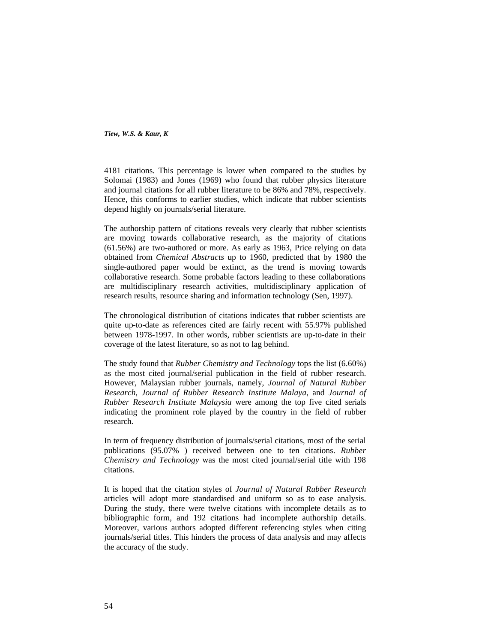4181 citations. This percentage is lower when compared to the studies by Solomai (1983) and Jones (1969) who found that rubber physics literature and journal citations for all rubber literature to be 86% and 78%, respectively. Hence, this conforms to earlier studies, which indicate that rubber scientists depend highly on journals/serial literature.

The authorship pattern of citations reveals very clearly that rubber scientists are moving towards collaborative research, as the majority of citations (61.56%) are two-authored or more. As early as 1963, Price relying on data obtained from *Chemical Abstracts* up to 1960, predicted that by 1980 the single-authored paper would be extinct, as the trend is moving towards collaborative research. Some probable factors leading to these collaborations are multidisciplinary research activities, multidisciplinary application of research results, resource sharing and information technology (Sen, 1997).

The chronological distribution of citations indicates that rubber scientists are quite up-to-date as references cited are fairly recent with 55.97% published between 1978-1997. In other words, rubber scientists are up-to-date in their coverage of the latest literature, so as not to lag behind.

The study found that *Rubber Chemistry and Technology* tops the list (6.60%) as the most cited journal/serial publication in the field of rubber research. However, Malaysian rubber journals, namely, *Journal of Natural Rubber Research*, *Journal of Rubber Research Institute Malaya*, and *Journal of Rubber Research Institute Malaysia* were among the top five cited serials indicating the prominent role played by the country in the field of rubber research.

In term of frequency distribution of journals/serial citations, most of the serial publications (95.07% ) received between one to ten citations. *Rubber Chemistry and Technology* was the most cited journal/serial title with 198 citations.

It is hoped that the citation styles of *Journal of Natural Rubber Research* articles will adopt more standardised and uniform so as to ease analysis. During the study, there were twelve citations with incomplete details as to bibliographic form, and 192 citations had incomplete authorship details. Moreover, various authors adopted different referencing styles when citing journals/serial titles. This hinders the process of data analysis and may affects the accuracy of the study.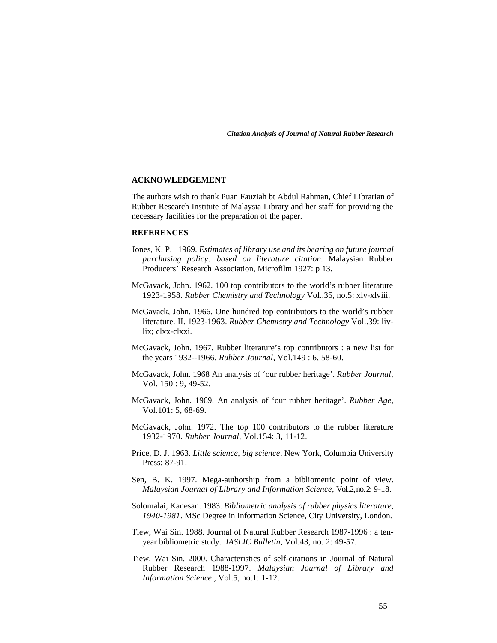# **ACKNOWLEDGEMENT**

The authors wish to thank Puan Fauziah bt Abdul Rahman, Chief Librarian of Rubber Research Institute of Malaysia Library and her staff for providing the necessary facilities for the preparation of the paper.

# **REFERENCES**

- Jones, K. P. 1969. *Estimates of library use and its bearing on future journal purchasing policy: based on literature citation*. Malaysian Rubber Producers' Research Association, Microfilm 1927: p 13.
- McGavack, John. 1962. 100 top contributors to the world's rubber literature 1923-1958. *Rubber Chemistry and Technology* Vol..35, no.5: xlv-xlviii.
- McGavack, John. 1966. One hundred top contributors to the world's rubber literature. II. 1923-1963. *Rubber Chemistry and Technology* Vol..39: livlix; clxx-clxxi.
- McGavack, John. 1967. Rubber literature's top contributors : a new list for the years 1932--1966. *Rubber Journal,* Vol.149 : 6, 58-60.
- McGavack, John. 1968 An analysis of 'our rubber heritage'. *Rubber Journal,* Vol. 150 : 9, 49-52.
- McGavack, John. 1969. An analysis of 'our rubber heritage'. *Rubber Age,* Vol.101: 5, 68-69.
- McGavack, John. 1972. The top 100 contributors to the rubber literature 1932-1970. *Rubber Journal*, Vol.154: 3, 11-12.
- Price, D. J. 1963. *Little science, big science*. New York, Columbia University Press: 87-91.
- Sen, B. K. 1997. Mega-authorship from a bibliometric point of view. *Malaysian Journal of Library and Information Science,* Vol..2, no. 2: 9-18.
- Solomalai, Kanesan. 1983. *Bibliometric analysis of rubber physics literature, 1940-1981*. MSc Degree in Information Science, City University, London.
- Tiew, Wai Sin. 1988. Journal of Natural Rubber Research 1987-1996 : a tenyear bibliometric study. *IASLIC Bulletin*, Vol.43, no. 2: 49-57.
- Tiew, Wai Sin. 2000. Characteristics of self-citations in Journal of Natural Rubber Research 1988-1997. *Malaysian Journal of Library and Information Science* , Vol.5, no.1: 1-12.